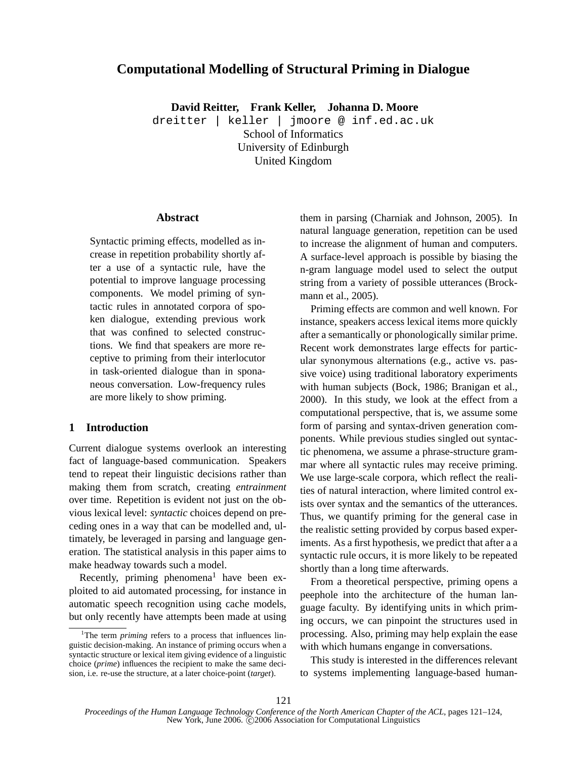# **Computational Modelling of Structural Priming in Dialogue**

**David Reitter, Frank Keller, Johanna D. Moore**

dreitter | keller | jmoore @ inf.ed.ac.uk School of Informatics University of Edinburgh United Kingdom

## **Abstract**

Syntactic priming effects, modelled as increase in repetition probability shortly after a use of a syntactic rule, have the potential to improve language processing components. We model priming of syntactic rules in annotated corpora of spoken dialogue, extending previous work that was confined to selected constructions. We find that speakers are more receptive to priming from their interlocutor in task-oriented dialogue than in sponaneous conversation. Low-frequency rules are more likely to show priming.

# **1 Introduction**

Current dialogue systems overlook an interesting fact of language-based communication. Speakers tend to repeat their linguistic decisions rather than making them from scratch, creating *entrainment* over time. Repetition is evident not just on the obvious lexical level: *syntactic* choices depend on preceding ones in a way that can be modelled and, ultimately, be leveraged in parsing and language generation. The statistical analysis in this paper aims to make headway towards such a model.

Recently, priming phenomena<sup>1</sup> have been exploited to aid automated processing, for instance in automatic speech recognition using cache models, but only recently have attempts been made at using them in parsing (Charniak and Johnson, 2005). In natural language generation, repetition can be used to increase the alignment of human and computers. A surface-level approach is possible by biasing the n-gram language model used to select the output string from a variety of possible utterances (Brockmann et al., 2005).

Priming effects are common and well known. For instance, speakers access lexical items more quickly after a semantically or phonologically similar prime. Recent work demonstrates large effects for particular synonymous alternations (e.g., active vs. passive voice) using traditional laboratory experiments with human subjects (Bock, 1986; Branigan et al., 2000). In this study, we look at the effect from a computational perspective, that is, we assume some form of parsing and syntax-driven generation components. While previous studies singled out syntactic phenomena, we assume a phrase-structure grammar where all syntactic rules may receive priming. We use large-scale corpora, which reflect the realities of natural interaction, where limited control exists over syntax and the semantics of the utterances. Thus, we quantify priming for the general case in the realistic setting provided by corpus based experiments. As a first hypothesis, we predict that after a a syntactic rule occurs, it is more likely to be repeated shortly than a long time afterwards.

From a theoretical perspective, priming opens a peephole into the architecture of the human language faculty. By identifying units in which priming occurs, we can pinpoint the structures used in processing. Also, priming may help explain the ease with which humans engange in conversations.

This study is interested in the differences relevant to systems implementing language-based human-

<sup>&</sup>lt;sup>1</sup>The term *priming* refers to a process that influences linguistic decision-making. An instance of priming occurs when a syntactic structure or lexical item giving evidence of a linguistic choice (*prime*) influences the recipient to make the same decision, i.e. re-use the structure, at a later choice-point (*target*).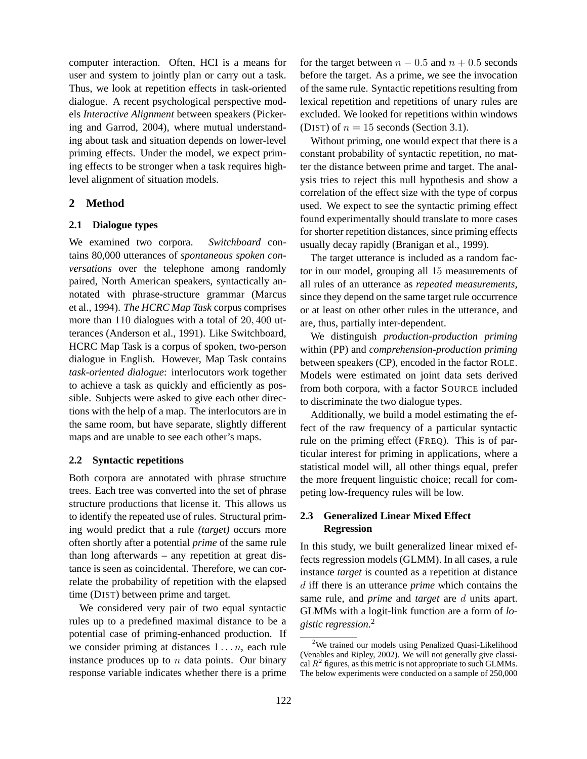computer interaction. Often, HCI is a means for user and system to jointly plan or carry out a task. Thus, we look at repetition effects in task-oriented dialogue. A recent psychological perspective models *Interactive Alignment* between speakers (Pickering and Garrod, 2004), where mutual understanding about task and situation depends on lower-level priming effects. Under the model, we expect priming effects to be stronger when a task requires highlevel alignment of situation models.

## **2 Method**

# **2.1 Dialogue types**

We examined two corpora. *Switchboard* contains 80,000 utterances of *spontaneous spoken conversations* over the telephone among randomly paired, North American speakers, syntactically annotated with phrase-structure grammar (Marcus et al., 1994). *The HCRC Map Task* corpus comprises more than 110 dialogues with a total of 20, 400 utterances (Anderson et al., 1991). Like Switchboard, HCRC Map Task is a corpus of spoken, two-person dialogue in English. However, Map Task contains *task-oriented dialogue*: interlocutors work together to achieve a task as quickly and efficiently as possible. Subjects were asked to give each other directions with the help of a map. The interlocutors are in the same room, but have separate, slightly different maps and are unable to see each other's maps.

#### **2.2 Syntactic repetitions**

Both corpora are annotated with phrase structure trees. Each tree was converted into the set of phrase structure productions that license it. This allows us to identify the repeated use of rules. Structural priming would predict that a rule *(target)* occurs more often shortly after a potential *prime* of the same rule than long afterwards – any repetition at great distance is seen as coincidental. Therefore, we can correlate the probability of repetition with the elapsed time (DIST) between prime and target.

We considered very pair of two equal syntactic rules up to a predefined maximal distance to be a potential case of priming-enhanced production. If we consider priming at distances  $1 \ldots n$ , each rule instance produces up to  $n$  data points. Our binary response variable indicates whether there is a prime

for the target between  $n - 0.5$  and  $n + 0.5$  seconds before the target. As a prime, we see the invocation of the same rule. Syntactic repetitions resulting from lexical repetition and repetitions of unary rules are excluded. We looked for repetitions within windows (DIST) of  $n = 15$  seconds (Section 3.1).

Without priming, one would expect that there is a constant probability of syntactic repetition, no matter the distance between prime and target. The analysis tries to reject this null hypothesis and show a correlation of the effect size with the type of corpus used. We expect to see the syntactic priming effect found experimentally should translate to more cases for shorter repetition distances, since priming effects usually decay rapidly (Branigan et al., 1999).

The target utterance is included as a random factor in our model, grouping all 15 measurements of all rules of an utterance as *repeated measurements*, since they depend on the same target rule occurrence or at least on other other rules in the utterance, and are, thus, partially inter-dependent.

We distinguish *production-production priming* within (PP) and *comprehension-production priming* between speakers (CP), encoded in the factor ROLE. Models were estimated on joint data sets derived from both corpora, with a factor SOURCE included to discriminate the two dialogue types.

Additionally, we build a model estimating the effect of the raw frequency of a particular syntactic rule on the priming effect (FREQ). This is of particular interest for priming in applications, where a statistical model will, all other things equal, prefer the more frequent linguistic choice; recall for competing low-frequency rules will be low.

# **2.3 Generalized Linear Mixed Effect Regression**

In this study, we built generalized linear mixed effects regression models (GLMM). In all cases, a rule instance *target* is counted as a repetition at distance d iff there is an utterance *prime* which contains the same rule, and *prime* and *target* are d units apart. GLMMs with a logit-link function are a form of *logistic regression*. 2

<sup>&</sup>lt;sup>2</sup>We trained our models using Penalized Quasi-Likelihood (Venables and Ripley, 2002). We will not generally give classical  $R^2$  figures, as this metric is not appropriate to such GLMMs. The below experiments were conducted on a sample of 250,000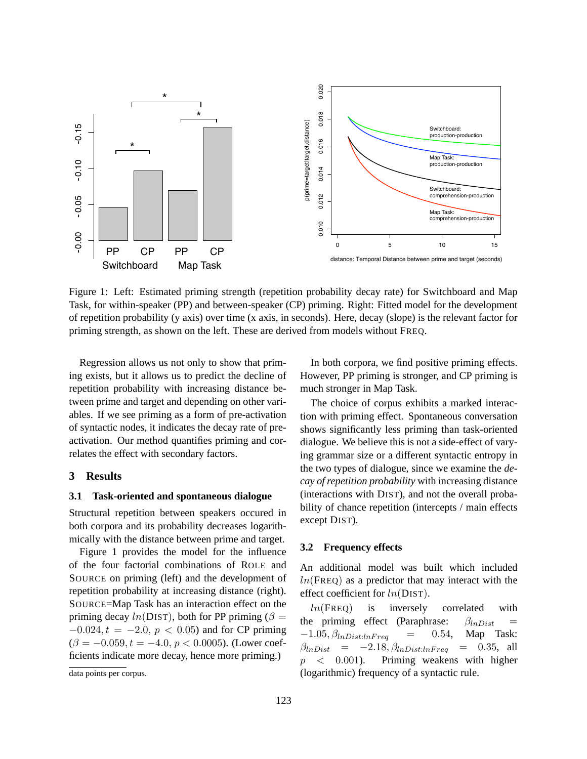

priming strength, as shown on the left. These are derived from models without FREQ. Task, for within-speaker (PP) and between-speaker (CP) priming. Right: Fitted model for the development<br>of repetition probability (y axis) over time (x axis, in seconds). Here, decay (slope) is the relevant factor for Figure 1: Left: Estimated priming strength (repetition probability decay rate) for Switchboard and Map Task, for within-speaker (PP) and between-speaker (CP) priming. Right: Fitted model for the development

Regression allows us not only to show that priming exists, but it allows us to predict the decline of repetition probability with increasing distance between prime and target and depending on other variables. If we see priming as a form of pre-activation of syntactic nodes, it indicates the decay rate of preactivation. Our method quantifies priming and correlates the effect with secondary factors.

#### **3 Results**

## **3.1 Task-oriented and spontaneous dialogue**

Structural repetition between speakers occured in both corpora and its probability decreases logarithmically with the distance between prime and target.

Figure 1 provides the model for the influence of the four factorial combinations of ROLE and SOURCE on priming (left) and the development of repetition probability at increasing distance (right). SOURCE=Map Task has an interaction effect on the priming decay  $ln(DIST)$ , both for PP priming ( $\beta =$  $-0.024, t = -2.0, p < 0.05$  and for CP priming  $(\beta = -0.059, t = -4.0, p < 0.0005)$ . (Lower coefficients indicate more decay, hence more priming.)

In both corpora, we find positive priming effects. However, PP priming is stronger, and CP priming is much stronger in Map Task.

The choice of corpus exhibits a marked interaction with priming effect. Spontaneous conversation shows significantly less priming than task-oriented dialogue. We believe this is not a side-effect of varying grammar size or a different syntactic entropy in the two types of dialogue, since we examine the *decay of repetition probability* with increasing distance (interactions with DIST), and not the overall probability of chance repetition (intercepts / main effects except DIST).

#### **3.2 Frequency effects**

An additional model was built which included  $ln(FREQ)$  as a predictor that may interact with the effect coefficient for  $ln(DIST)$ .

 $ln(FREQ)$  is inversely correlated with the priming effect (Paraphrase:  $\beta_{lnDist}$  =  $-1.05, \beta_{lnDist:lnFreq}$  = 0.54, Map Task:  $\beta_{lnDist} = -2.18, \beta_{lnDist:lnFreq} = 0.35, \text{ all}$  $p \sim 0.001$ . Priming weakens with higher (logarithmic) frequency of a syntactic rule.

data points per corpus.